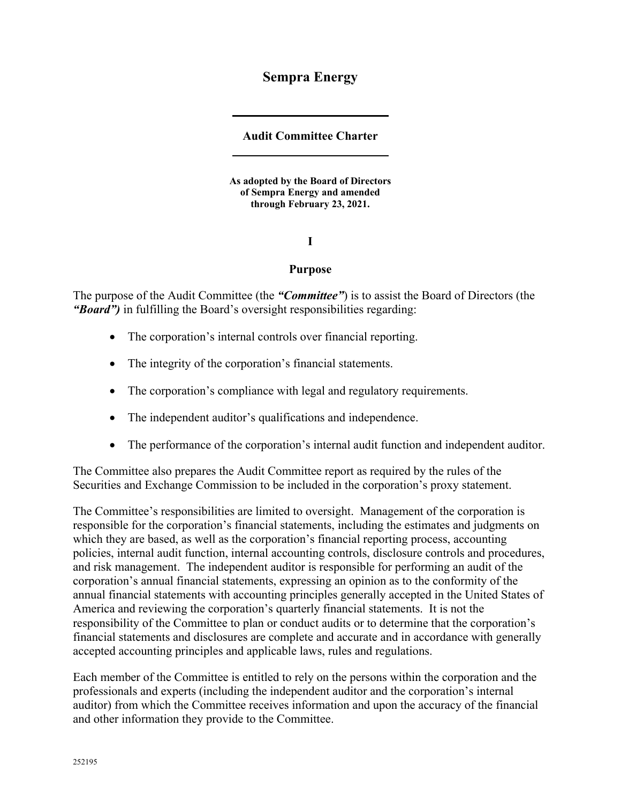# **Sempra Energy**

# **Audit Committee Charter**

**As adopted by the Board of Directors of Sempra Energy and amended through February 23, 2021.** 

**I** 

### **Purpose**

The purpose of the Audit Committee (the *"Committee"*) is to assist the Board of Directors (the *"Board")* in fulfilling the Board's oversight responsibilities regarding:

- The corporation's internal controls over financial reporting.
- The integrity of the corporation's financial statements.
- The corporation's compliance with legal and regulatory requirements.
- The independent auditor's qualifications and independence.
- The performance of the corporation's internal audit function and independent auditor.

The Committee also prepares the Audit Committee report as required by the rules of the Securities and Exchange Commission to be included in the corporation's proxy statement.

The Committee's responsibilities are limited to oversight. Management of the corporation is responsible for the corporation's financial statements, including the estimates and judgments on which they are based, as well as the corporation's financial reporting process, accounting policies, internal audit function, internal accounting controls, disclosure controls and procedures, and risk management. The independent auditor is responsible for performing an audit of the corporation's annual financial statements, expressing an opinion as to the conformity of the annual financial statements with accounting principles generally accepted in the United States of America and reviewing the corporation's quarterly financial statements. It is not the responsibility of the Committee to plan or conduct audits or to determine that the corporation's financial statements and disclosures are complete and accurate and in accordance with generally accepted accounting principles and applicable laws, rules and regulations.

Each member of the Committee is entitled to rely on the persons within the corporation and the professionals and experts (including the independent auditor and the corporation's internal auditor) from which the Committee receives information and upon the accuracy of the financial and other information they provide to the Committee.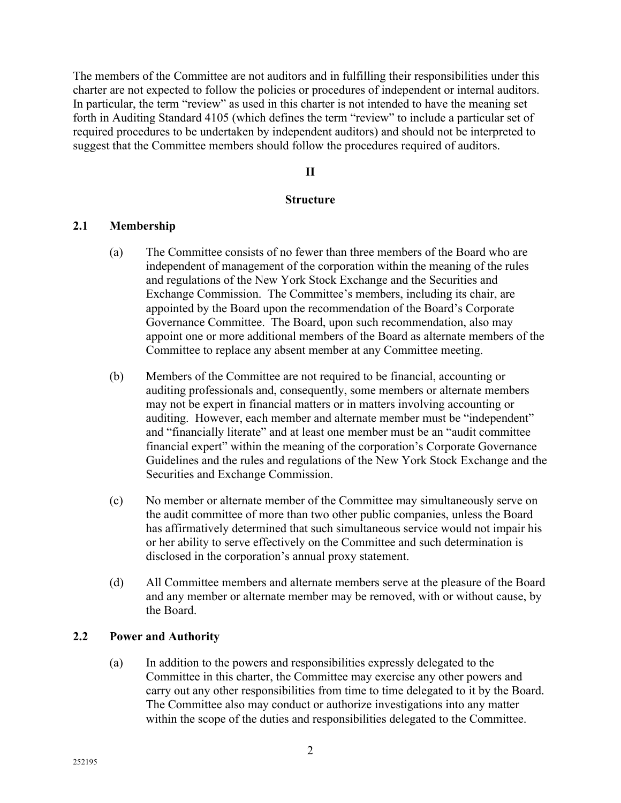The members of the Committee are not auditors and in fulfilling their responsibilities under this charter are not expected to follow the policies or procedures of independent or internal auditors. In particular, the term "review" as used in this charter is not intended to have the meaning set forth in Auditing Standard 4105 (which defines the term "review" to include a particular set of required procedures to be undertaken by independent auditors) and should not be interpreted to suggest that the Committee members should follow the procedures required of auditors.

#### **II**

#### **Structure**

# **2.1 Membership**

- (a) The Committee consists of no fewer than three members of the Board who are independent of management of the corporation within the meaning of the rules and regulations of the New York Stock Exchange and the Securities and Exchange Commission. The Committee's members, including its chair, are appointed by the Board upon the recommendation of the Board's Corporate Governance Committee. The Board, upon such recommendation, also may appoint one or more additional members of the Board as alternate members of the Committee to replace any absent member at any Committee meeting.
- (b) Members of the Committee are not required to be financial, accounting or auditing professionals and, consequently, some members or alternate members may not be expert in financial matters or in matters involving accounting or auditing. However, each member and alternate member must be "independent" and "financially literate" and at least one member must be an "audit committee financial expert" within the meaning of the corporation's Corporate Governance Guidelines and the rules and regulations of the New York Stock Exchange and the Securities and Exchange Commission.
- (c) No member or alternate member of the Committee may simultaneously serve on the audit committee of more than two other public companies, unless the Board has affirmatively determined that such simultaneous service would not impair his or her ability to serve effectively on the Committee and such determination is disclosed in the corporation's annual proxy statement.
- (d) All Committee members and alternate members serve at the pleasure of the Board and any member or alternate member may be removed, with or without cause, by the Board.

### **2.2 Power and Authority**

(a) In addition to the powers and responsibilities expressly delegated to the Committee in this charter, the Committee may exercise any other powers and carry out any other responsibilities from time to time delegated to it by the Board. The Committee also may conduct or authorize investigations into any matter within the scope of the duties and responsibilities delegated to the Committee.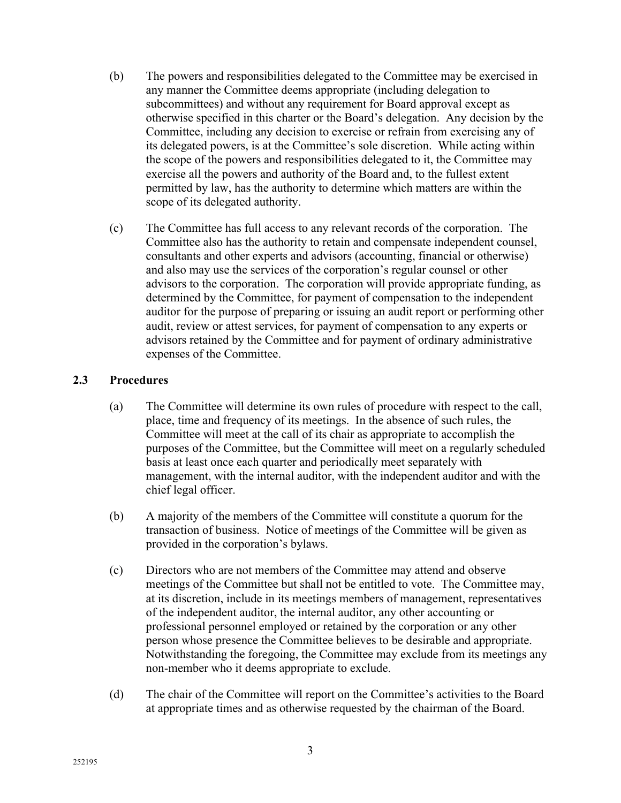- (b) The powers and responsibilities delegated to the Committee may be exercised in any manner the Committee deems appropriate (including delegation to subcommittees) and without any requirement for Board approval except as otherwise specified in this charter or the Board's delegation. Any decision by the Committee, including any decision to exercise or refrain from exercising any of its delegated powers, is at the Committee's sole discretion. While acting within the scope of the powers and responsibilities delegated to it, the Committee may exercise all the powers and authority of the Board and, to the fullest extent permitted by law, has the authority to determine which matters are within the scope of its delegated authority.
- (c) The Committee has full access to any relevant records of the corporation. The Committee also has the authority to retain and compensate independent counsel, consultants and other experts and advisors (accounting, financial or otherwise) and also may use the services of the corporation's regular counsel or other advisors to the corporation. The corporation will provide appropriate funding, as determined by the Committee, for payment of compensation to the independent auditor for the purpose of preparing or issuing an audit report or performing other audit, review or attest services, for payment of compensation to any experts or advisors retained by the Committee and for payment of ordinary administrative expenses of the Committee.

# **2.3 Procedures**

- (a) The Committee will determine its own rules of procedure with respect to the call, place, time and frequency of its meetings. In the absence of such rules, the Committee will meet at the call of its chair as appropriate to accomplish the purposes of the Committee, but the Committee will meet on a regularly scheduled basis at least once each quarter and periodically meet separately with management, with the internal auditor, with the independent auditor and with the chief legal officer.
- (b) A majority of the members of the Committee will constitute a quorum for the transaction of business. Notice of meetings of the Committee will be given as provided in the corporation's bylaws.
- (c) Directors who are not members of the Committee may attend and observe meetings of the Committee but shall not be entitled to vote. The Committee may, at its discretion, include in its meetings members of management, representatives of the independent auditor, the internal auditor, any other accounting or professional personnel employed or retained by the corporation or any other person whose presence the Committee believes to be desirable and appropriate. Notwithstanding the foregoing, the Committee may exclude from its meetings any non-member who it deems appropriate to exclude.
- (d) The chair of the Committee will report on the Committee's activities to the Board at appropriate times and as otherwise requested by the chairman of the Board.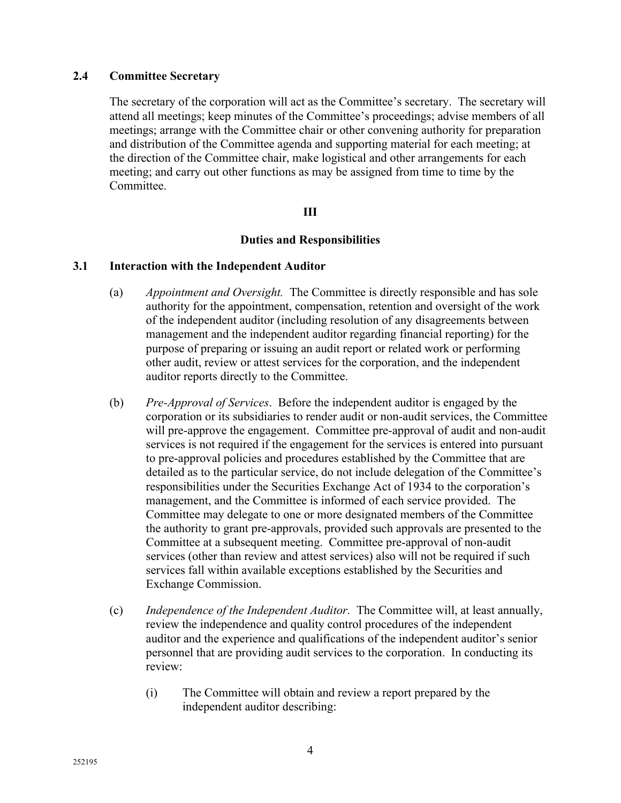# **2.4 Committee Secretary**

The secretary of the corporation will act as the Committee's secretary. The secretary will attend all meetings; keep minutes of the Committee's proceedings; advise members of all meetings; arrange with the Committee chair or other convening authority for preparation and distribution of the Committee agenda and supporting material for each meeting; at the direction of the Committee chair, make logistical and other arrangements for each meeting; and carry out other functions as may be assigned from time to time by the Committee.

# **III**

### **Duties and Responsibilities**

### **3.1 Interaction with the Independent Auditor**

- (a) *Appointment and Oversight.* The Committee is directly responsible and has sole authority for the appointment, compensation, retention and oversight of the work of the independent auditor (including resolution of any disagreements between management and the independent auditor regarding financial reporting) for the purpose of preparing or issuing an audit report or related work or performing other audit, review or attest services for the corporation, and the independent auditor reports directly to the Committee.
- (b) *Pre-Approval of Services*. Before the independent auditor is engaged by the corporation or its subsidiaries to render audit or non-audit services, the Committee will pre-approve the engagement. Committee pre-approval of audit and non-audit services is not required if the engagement for the services is entered into pursuant to pre-approval policies and procedures established by the Committee that are detailed as to the particular service, do not include delegation of the Committee's responsibilities under the Securities Exchange Act of 1934 to the corporation's management, and the Committee is informed of each service provided. The Committee may delegate to one or more designated members of the Committee the authority to grant pre-approvals, provided such approvals are presented to the Committee at a subsequent meeting. Committee pre-approval of non-audit services (other than review and attest services) also will not be required if such services fall within available exceptions established by the Securities and Exchange Commission.
- (c) *Independence of the Independent Auditor.* The Committee will, at least annually, review the independence and quality control procedures of the independent auditor and the experience and qualifications of the independent auditor's senior personnel that are providing audit services to the corporation. In conducting its review:
	- (i) The Committee will obtain and review a report prepared by the independent auditor describing: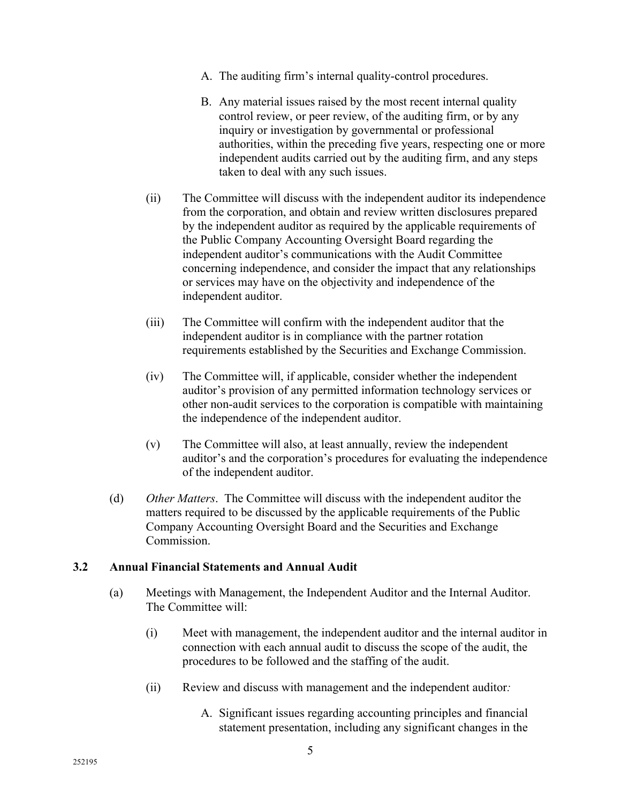- A. The auditing firm's internal quality-control procedures.
- B. Any material issues raised by the most recent internal quality control review, or peer review, of the auditing firm, or by any inquiry or investigation by governmental or professional authorities, within the preceding five years, respecting one or more independent audits carried out by the auditing firm, and any steps taken to deal with any such issues.
- (ii) The Committee will discuss with the independent auditor its independence from the corporation, and obtain and review written disclosures prepared by the independent auditor as required by the applicable requirements of the Public Company Accounting Oversight Board regarding the independent auditor's communications with the Audit Committee concerning independence, and consider the impact that any relationships or services may have on the objectivity and independence of the independent auditor.
- (iii) The Committee will confirm with the independent auditor that the independent auditor is in compliance with the partner rotation requirements established by the Securities and Exchange Commission.
- (iv) The Committee will, if applicable, consider whether the independent auditor's provision of any permitted information technology services or other non-audit services to the corporation is compatible with maintaining the independence of the independent auditor.
- (v) The Committee will also, at least annually, review the independent auditor's and the corporation's procedures for evaluating the independence of the independent auditor.
- (d) *Other Matters*. The Committee will discuss with the independent auditor the matters required to be discussed by the applicable requirements of the Public Company Accounting Oversight Board and the Securities and Exchange Commission.

# **3.2 Annual Financial Statements and Annual Audit**

- (a) Meetings with Management, the Independent Auditor and the Internal Auditor. The Committee will:
	- (i) Meet with management, the independent auditor and the internal auditor in connection with each annual audit to discuss the scope of the audit, the procedures to be followed and the staffing of the audit.
	- (ii) Review and discuss with management and the independent auditor*:*
		- A. Significant issues regarding accounting principles and financial statement presentation, including any significant changes in the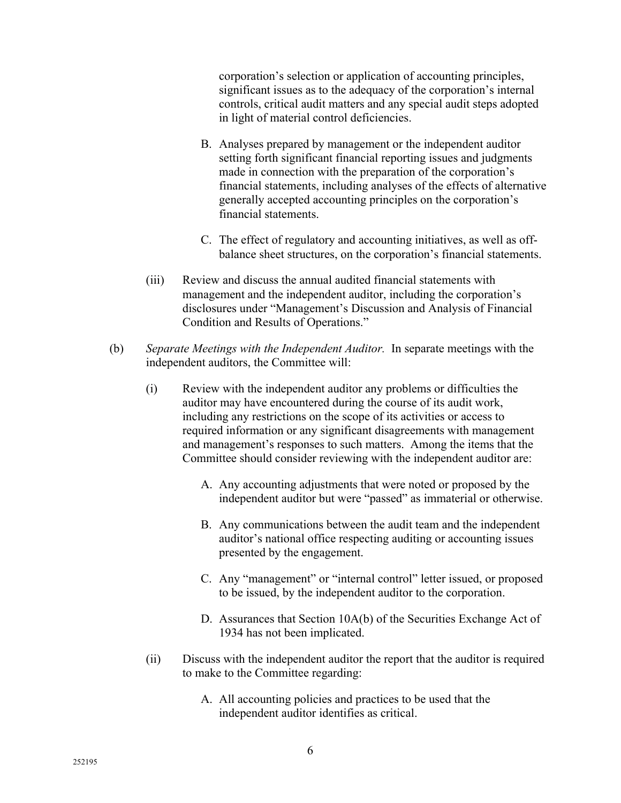corporation's selection or application of accounting principles, significant issues as to the adequacy of the corporation's internal controls, critical audit matters and any special audit steps adopted in light of material control deficiencies.

- B. Analyses prepared by management or the independent auditor setting forth significant financial reporting issues and judgments made in connection with the preparation of the corporation's financial statements, including analyses of the effects of alternative generally accepted accounting principles on the corporation's financial statements.
- C. The effect of regulatory and accounting initiatives, as well as offbalance sheet structures, on the corporation's financial statements.
- (iii) Review and discuss the annual audited financial statements with management and the independent auditor, including the corporation's disclosures under "Management's Discussion and Analysis of Financial Condition and Results of Operations."
- (b) *Separate Meetings with the Independent Auditor.* In separate meetings with the independent auditors, the Committee will:
	- (i) Review with the independent auditor any problems or difficulties the auditor may have encountered during the course of its audit work, including any restrictions on the scope of its activities or access to required information or any significant disagreements with management and management's responses to such matters. Among the items that the Committee should consider reviewing with the independent auditor are:
		- A. Any accounting adjustments that were noted or proposed by the independent auditor but were "passed" as immaterial or otherwise.
		- B. Any communications between the audit team and the independent auditor's national office respecting auditing or accounting issues presented by the engagement.
		- C. Any "management" or "internal control" letter issued, or proposed to be issued, by the independent auditor to the corporation.
		- D. Assurances that Section 10A(b) of the Securities Exchange Act of 1934 has not been implicated.
	- (ii) Discuss with the independent auditor the report that the auditor is required to make to the Committee regarding:
		- A. All accounting policies and practices to be used that the independent auditor identifies as critical.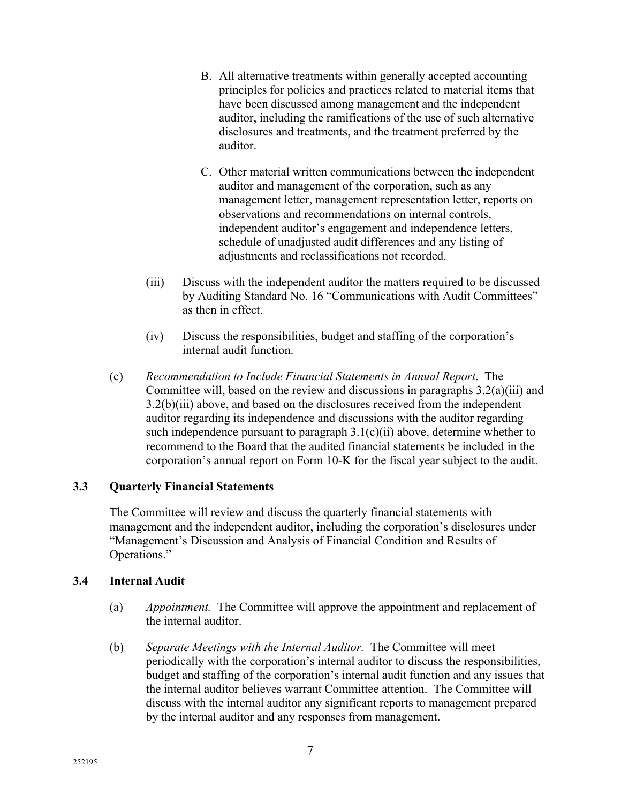- B. All alternative treatments within generally accepted accounting principles for policies and practices related to material items that have been discussed among management and the independent auditor, including the ramifications of the use of such alternative disclosures and treatments, and the treatment preferred by the auditor.
- C. Other material written communications between the independent auditor and management of the corporation, such as any management letter, management representation letter, reports on observations and recommendations on internal controls, independent auditor's engagement and independence letters, schedule of unadjusted audit differences and any listing of adjustments and reclassifications not recorded.
- (iii) Discuss with the independent auditor the matters required to be discussed by Auditing Standard No. 16 "Communications with Audit Committees" as then in effect.
- (iv) Discuss the responsibilities, budget and staffing of the corporation's internal audit function.
- (c) *Recommendation to Include Financial Statements in Annual Report*. The Committee will, based on the review and discussions in paragraphs 3.2(a)(iii) and 3.2(b)(iii) above, and based on the disclosures received from the independent auditor regarding its independence and discussions with the auditor regarding such independence pursuant to paragraph  $3.1(c)(ii)$  above, determine whether to recommend to the Board that the audited financial statements be included in the corporation's annual report on Form 10-K for the fiscal year subject to the audit.

# **3.3 Quarterly Financial Statements**

The Committee will review and discuss the quarterly financial statements with management and the independent auditor, including the corporation's disclosures under "Management's Discussion and Analysis of Financial Condition and Results of Operations."

# **3.4 Internal Audit**

- (a) *Appointment.* The Committee will approve the appointment and replacement of the internal auditor.
- (b) *Separate Meetings with the Internal Auditor.* The Committee will meet periodically with the corporation's internal auditor to discuss the responsibilities, budget and staffing of the corporation's internal audit function and any issues that the internal auditor believes warrant Committee attention. The Committee will discuss with the internal auditor any significant reports to management prepared by the internal auditor and any responses from management.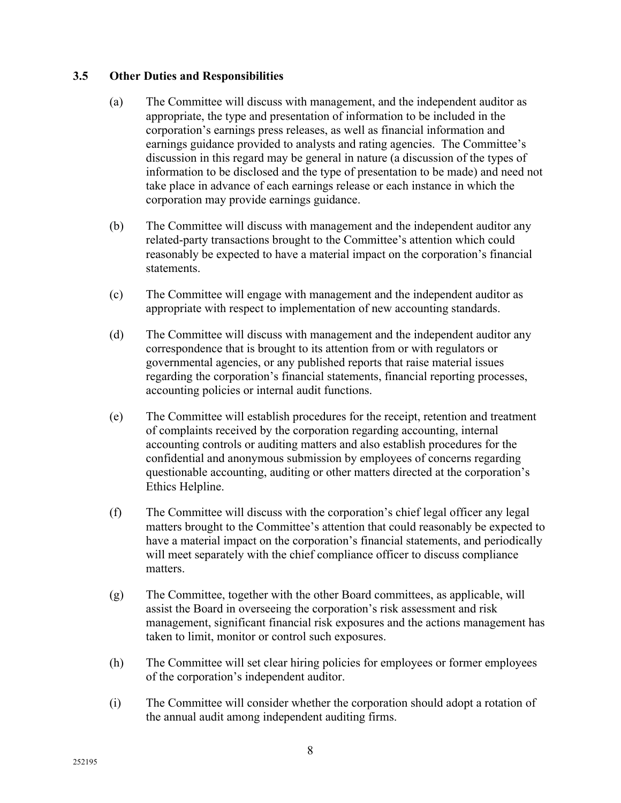# **3.5 Other Duties and Responsibilities**

- (a) The Committee will discuss with management, and the independent auditor as appropriate, the type and presentation of information to be included in the corporation's earnings press releases, as well as financial information and earnings guidance provided to analysts and rating agencies. The Committee's discussion in this regard may be general in nature (a discussion of the types of information to be disclosed and the type of presentation to be made) and need not take place in advance of each earnings release or each instance in which the corporation may provide earnings guidance.
- (b) The Committee will discuss with management and the independent auditor any related-party transactions brought to the Committee's attention which could reasonably be expected to have a material impact on the corporation's financial statements.
- (c) The Committee will engage with management and the independent auditor as appropriate with respect to implementation of new accounting standards.
- (d) The Committee will discuss with management and the independent auditor any correspondence that is brought to its attention from or with regulators or governmental agencies, or any published reports that raise material issues regarding the corporation's financial statements, financial reporting processes, accounting policies or internal audit functions.
- (e) The Committee will establish procedures for the receipt, retention and treatment of complaints received by the corporation regarding accounting, internal accounting controls or auditing matters and also establish procedures for the confidential and anonymous submission by employees of concerns regarding questionable accounting, auditing or other matters directed at the corporation's Ethics Helpline.
- (f) The Committee will discuss with the corporation's chief legal officer any legal matters brought to the Committee's attention that could reasonably be expected to have a material impact on the corporation's financial statements, and periodically will meet separately with the chief compliance officer to discuss compliance matters.
- (g) The Committee, together with the other Board committees, as applicable, will assist the Board in overseeing the corporation's risk assessment and risk management, significant financial risk exposures and the actions management has taken to limit, monitor or control such exposures.
- (h) The Committee will set clear hiring policies for employees or former employees of the corporation's independent auditor.
- (i) The Committee will consider whether the corporation should adopt a rotation of the annual audit among independent auditing firms.